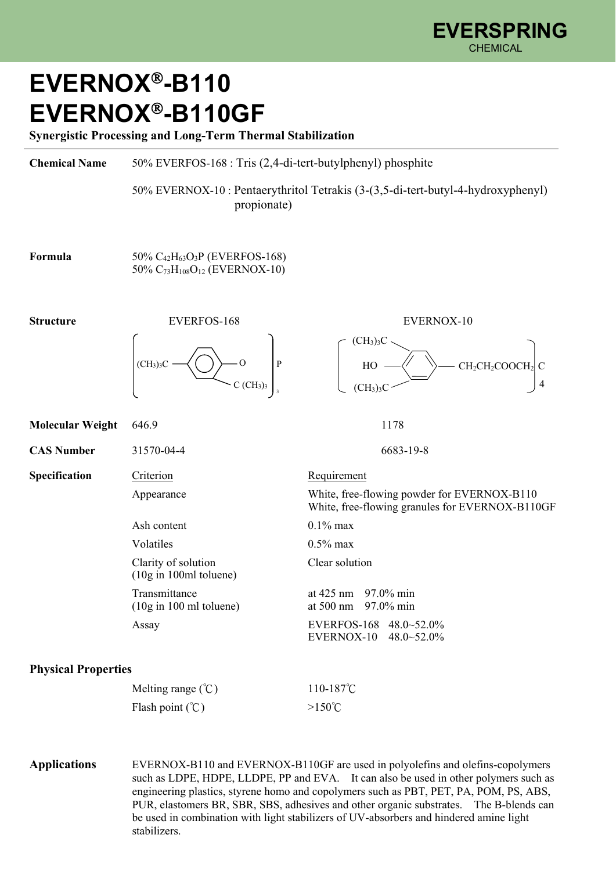## **EVERNOX-B110 EVERNOX-B110GF**

**Synergistic Processing and Long-Term Thermal Stabilization** 

**Chemical Name** 50% EVERFOS-168 : Tris (2,4-di-tert-butylphenyl) phosphite

 50% EVERNOX-10 : Pentaerythritol Tetrakis (3-(3,5-di-tert-butyl-4-hydroxyphenyl) propionate)

 $(CH_3)_3C$ 

 $(CH_3)$ <sub>3</sub>C

**Formula** 50% C<sub>42</sub>H<sub>63</sub>O<sub>3</sub>P (EVERFOS-168) 50% C73H108O12 (EVERNOX-10)



**Molecular Weight** 646.9 1178

**CAS Number** 31570-04-4 6683-19-8

Ash content  $0.1\%$  max Volatiles 0.5% max Clarity of solution Clear solution (10g in 100ml toluene)

## **Physical Properties**

| Melting range $(\degree C)$ | 110-187 $\degree$ C |
|-----------------------------|---------------------|
| Flash point $(\mathcal{C})$ | $>150^{\circ}$ C    |

**Applications** EVERNOX-B110 and EVERNOX-B110GF are used in polyolefins and olefins-copolymers such as LDPE, HDPE, LLDPE, PP and EVA. It can also be used in other polymers such as engineering plastics, styrene homo and copolymers such as PBT, PET, PA, POM, PS, ABS, PUR, elastomers BR, SBR, SBS, adhesives and other organic substrates. The B-blends can be used in combination with light stabilizers of UV-absorbers and hindered amine light stabilizers.

 $HO \longrightarrow \qquad \searrow$  CH<sub>2</sub>CH<sub>2</sub>COOCH<sub>2</sub>

4

```
Specification Criterion Requirement
  Appearance White, free-flowing powder for EVERNOX-B110
                            White, free-flowing granules for EVERNOX-B110GF
```
Transmittance at 425 nm 97.0% min<br>(10g in 100 ml toluene) at 500 nm 97.0% min at 500 nm 97.0% min Assay EVERFOS-168 48.0~52.0% EVERNOX-10 48.0~52.0%